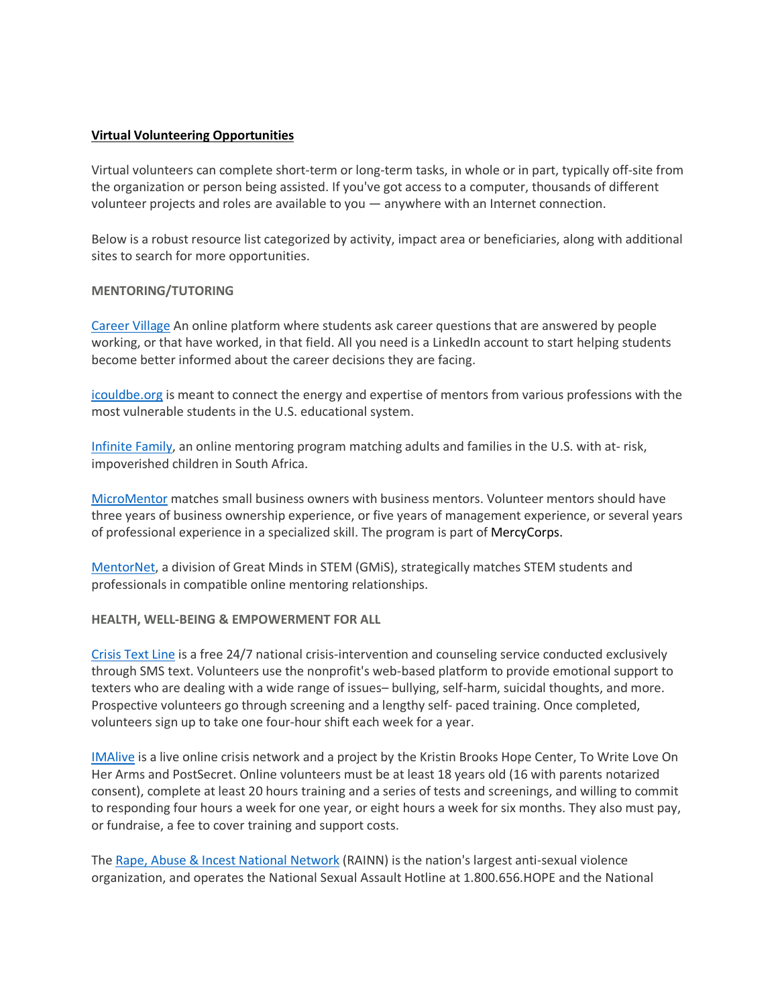## **Virtual Volunteering Opportunities**

Virtual volunteers can complete short-term or long-term tasks, in whole or in part, typically off-site from the organization or person being assisted. If you've got access to a computer, thousands of different volunteer projects and roles are available to you — anywhere with an Internet connection.

Below is a robust resource list categorized by activity, impact area or beneficiaries, along with additional sites to search for more opportunities.

### **MENTORING/TUTORING**

Career Village An online platform where students ask career questions that are answered by people working, or that have worked, in that field. All you need is a LinkedIn account to start helping students become better informed about the career decisions they are facing.

icouldbe.org is meant to connect the energy and expertise of mentors from various professions with the most vulnerable students in the U.S. educational system.

Infinite Family, an online mentoring program matching adults and families in the U.S. with at- risk, impoverished children in South Africa.

MicroMentor matches small business owners with business mentors. Volunteer mentors should have three years of business ownership experience, or five years of management experience, or several years of professional experience in a specialized skill. The program is part of MercyCorps.

MentorNet, a division of Great Minds in STEM (GMiS), strategically matches STEM students and professionals in compatible online mentoring relationships.

### **HEALTH, WELL-BEING & EMPOWERMENT FOR ALL**

Crisis Text Line is a free 24/7 national crisis-intervention and counseling service conducted exclusively through SMS text. Volunteers use the nonprofit's web-based platform to provide emotional support to texters who are dealing with a wide range of issues– bullying, self-harm, suicidal thoughts, and more. Prospective volunteers go through screening and a lengthy self- paced training. Once completed, volunteers sign up to take one four-hour shift each week for a year.

IMAlive is a live online crisis network and a project by the Kristin Brooks Hope Center, To Write Love On Her Arms and PostSecret. Online volunteers must be at least 18 years old (16 with parents notarized consent), complete at least 20 hours training and a series of tests and screenings, and willing to commit to responding four hours a week for one year, or eight hours a week for six months. They also must pay, or fundraise, a fee to cover training and support costs.

The Rape, Abuse & Incest National Network (RAINN) is the nation's largest anti-sexual violence organization, and operates the National Sexual Assault Hotline at 1.800.656.HOPE and the National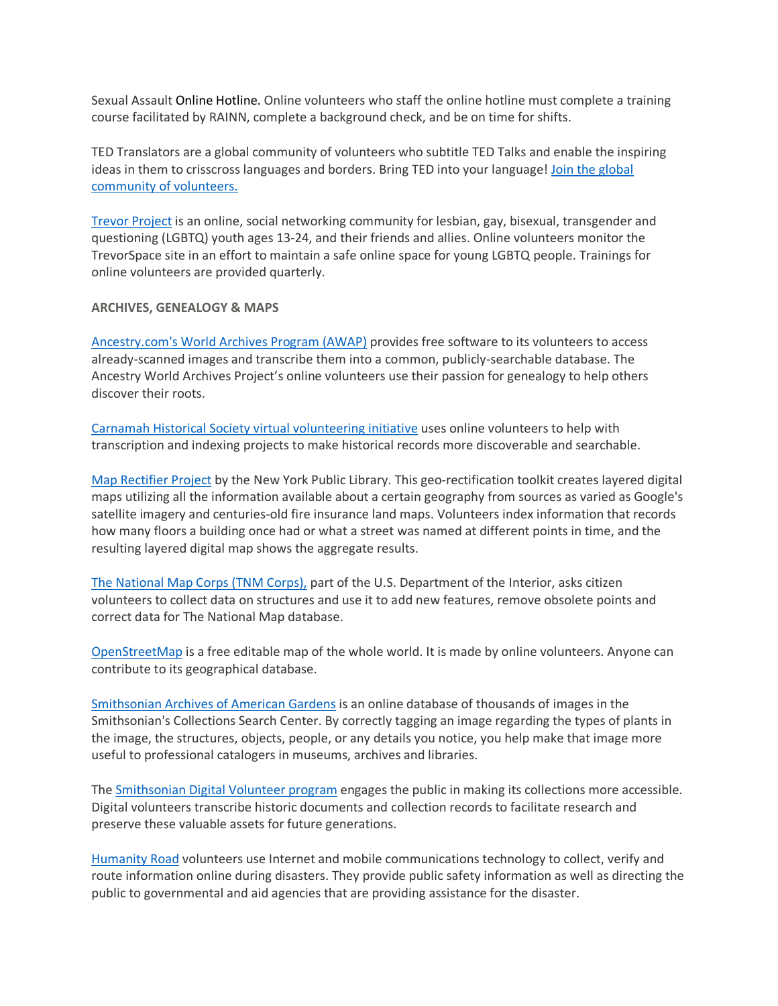Sexual Assault Online Hotline. Online volunteers who staff the online hotline must complete a training course facilitated by RAINN, complete a background check, and be on time for shifts.

TED Translators are a global community of volunteers who subtitle TED Talks and enable the inspiring ideas in them to crisscross languages and borders. Bring TED into your language! Join the global community of volunteers.

Trevor Project is an online, social networking community for lesbian, gay, bisexual, transgender and questioning (LGBTQ) youth ages 13-24, and their friends and allies. Online volunteers monitor the TrevorSpace site in an effort to maintain a safe online space for young LGBTQ people. Trainings for online volunteers are provided quarterly.

## **ARCHIVES, GENEALOGY & MAPS**

Ancestry.com's World Archives Program (AWAP) provides free software to its volunteers to access already-scanned images and transcribe them into a common, publicly-searchable database. The Ancestry World Archives Project's online volunteers use their passion for genealogy to help others discover their roots.

Carnamah Historical Society virtual volunteering initiative uses online volunteers to help with transcription and indexing projects to make historical records more discoverable and searchable.

Map Rectifier Project by the New York Public Library. This geo-rectification toolkit creates layered digital maps utilizing all the information available about a certain geography from sources as varied as Google's satellite imagery and centuries-old fire insurance land maps. Volunteers index information that records how many floors a building once had or what a street was named at different points in time, and the resulting layered digital map shows the aggregate results.

The National Map Corps (TNM Corps), part of the U.S. Department of the Interior, asks citizen volunteers to collect data on structures and use it to add new features, remove obsolete points and correct data for The National Map database.

OpenStreetMap is a free editable map of the whole world. It is made by online volunteers. Anyone can contribute to its geographical database.

Smithsonian Archives of American Gardens is an online database of thousands of images in the Smithsonian's Collections Search Center. By correctly tagging an image regarding the types of plants in the image, the structures, objects, people, or any details you notice, you help make that image more useful to professional catalogers in museums, archives and libraries.

The Smithsonian Digital Volunteer program engages the public in making its collections more accessible. Digital volunteers transcribe historic documents and collection records to facilitate research and preserve these valuable assets for future generations.

Humanity Road volunteers use Internet and mobile communications technology to collect, verify and route information online during disasters. They provide public safety information as well as directing the public to governmental and aid agencies that are providing assistance for the disaster.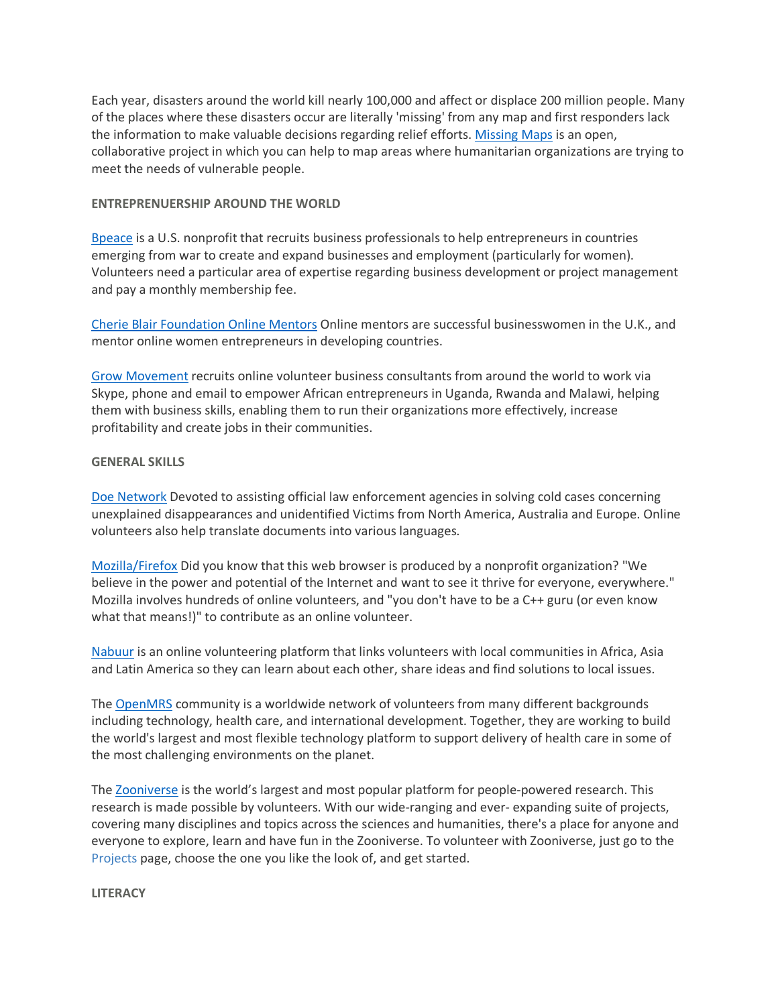Each year, disasters around the world kill nearly 100,000 and affect or displace 200 million people. Many of the places where these disasters occur are literally 'missing' from any map and first responders lack the information to make valuable decisions regarding relief efforts. Missing Maps is an open, collaborative project in which you can help to map areas where humanitarian organizations are trying to meet the needs of vulnerable people.

# **ENTREPRENUERSHIP AROUND THE WORLD**

Bpeace is a U.S. nonprofit that recruits business professionals to help entrepreneurs in countries emerging from war to create and expand businesses and employment (particularly for women). Volunteers need a particular area of expertise regarding business development or project management and pay a monthly membership fee.

Cherie Blair Foundation Online Mentors Online mentors are successful businesswomen in the U.K., and mentor online women entrepreneurs in developing countries.

Grow Movement recruits online volunteer business consultants from around the world to work via Skype, phone and email to empower African entrepreneurs in Uganda, Rwanda and Malawi, helping them with business skills, enabling them to run their organizations more effectively, increase profitability and create jobs in their communities.

## **GENERAL SKILLS**

Doe Network Devoted to assisting official law enforcement agencies in solving cold cases concerning unexplained disappearances and unidentified Victims from North America, Australia and Europe. Online volunteers also help translate documents into various languages.

Mozilla/Firefox Did you know that this web browser is produced by a nonprofit organization? "We believe in the power and potential of the Internet and want to see it thrive for everyone, everywhere." Mozilla involves hundreds of online volunteers, and "you don't have to be a C++ guru (or even know what that means!)" to contribute as an online volunteer.

Nabuur is an online volunteering platform that links volunteers with local communities in Africa, Asia and Latin America so they can learn about each other, share ideas and find solutions to local issues.

The OpenMRS community is a worldwide network of volunteers from many different backgrounds including technology, health care, and international development. Together, they are working to build the world's largest and most flexible technology platform to support delivery of health care in some of the most challenging environments on the planet.

The Zooniverse is the world's largest and most popular platform for people-powered research. This research is made possible by volunteers. With our wide-ranging and ever- expanding suite of projects, covering many disciplines and topics across the sciences and humanities, there's a place for anyone and everyone to explore, learn and have fun in the Zooniverse. To volunteer with Zooniverse, just go to the Projects page, choose the one you like the look of, and get started.

### **LITERACY**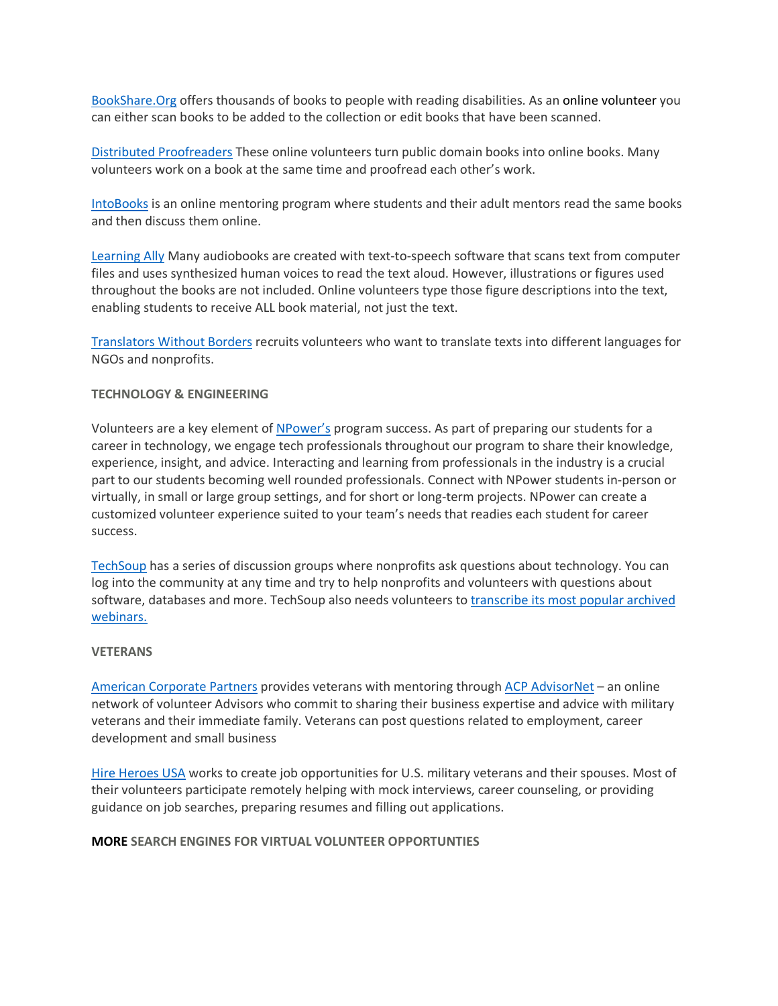BookShare.Org offers thousands of books to people with reading disabilities. As an online volunteer you can either scan books to be added to the collection or edit books that have been scanned.

Distributed Proofreaders These online volunteers turn public domain books into online books. Many volunteers work on a book at the same time and proofread each other's work.

IntoBooks is an online mentoring program where students and their adult mentors read the same books and then discuss them online.

**Learning Ally** Many audiobooks are created with text-to-speech software that scans text from computer files and uses synthesized human voices to read the text aloud. However, illustrations or figures used throughout the books are not included. Online volunteers type those figure descriptions into the text, enabling students to receive ALL book material, not just the text.

Translators Without Borders recruits volunteers who want to translate texts into different languages for NGOs and nonprofits.

## **TECHNOLOGY & ENGINEERING**

Volunteers are a key element of NPower's program success. As part of preparing our students for a career in technology, we engage tech professionals throughout our program to share their knowledge, experience, insight, and advice. Interacting and learning from professionals in the industry is a crucial part to our students becoming well rounded professionals. Connect with NPower students in-person or virtually, in small or large group settings, and for short or long-term projects. NPower can create a customized volunteer experience suited to your team's needs that readies each student for career success.

TechSoup has a series of discussion groups where nonprofits ask questions about technology. You can log into the community at any time and try to help nonprofits and volunteers with questions about software, databases and more. TechSoup also needs volunteers to transcribe its most popular archived webinars.

### **VETERANS**

American Corporate Partners provides veterans with mentoring through ACP AdvisorNet – an online network of volunteer Advisors who commit to sharing their business expertise and advice with military veterans and their immediate family. Veterans can post questions related to employment, career development and small business

Hire Heroes USA works to create job opportunities for U.S. military veterans and their spouses. Most of their volunteers participate remotely helping with mock interviews, career counseling, or providing guidance on job searches, preparing resumes and filling out applications.

### **MORE SEARCH ENGINES FOR VIRTUAL VOLUNTEER OPPORTUNTIES**